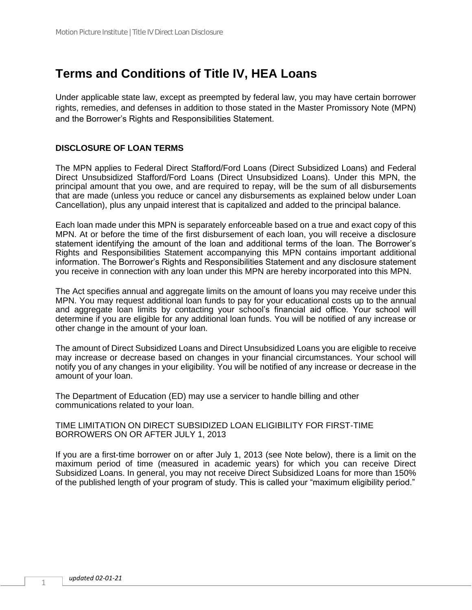# **Terms and Conditions of Title IV, HEA Loans**

Under applicable state law, except as preempted by federal law, you may have certain borrower rights, remedies, and defenses in addition to those stated in the Master Promissory Note (MPN) and the Borrower's Rights and Responsibilities Statement.

## **DISCLOSURE OF LOAN TERMS**

The MPN applies to Federal Direct Stafford/Ford Loans (Direct Subsidized Loans) and Federal Direct Unsubsidized Stafford/Ford Loans (Direct Unsubsidized Loans). Under this MPN, the principal amount that you owe, and are required to repay, will be the sum of all disbursements that are made (unless you reduce or cancel any disbursements as explained below under Loan Cancellation), plus any unpaid interest that is capitalized and added to the principal balance.

Each loan made under this MPN is separately enforceable based on a true and exact copy of this MPN. At or before the time of the first disbursement of each loan, you will receive a disclosure statement identifying the amount of the loan and additional terms of the loan. The Borrower's Rights and Responsibilities Statement accompanying this MPN contains important additional information. The Borrower's Rights and Responsibilities Statement and any disclosure statement you receive in connection with any loan under this MPN are hereby incorporated into this MPN.

The Act specifies annual and aggregate limits on the amount of loans you may receive under this MPN. You may request additional loan funds to pay for your educational costs up to the annual and aggregate loan limits by contacting your school's financial aid office. Your school will determine if you are eligible for any additional loan funds. You will be notified of any increase or other change in the amount of your loan.

The amount of Direct Subsidized Loans and Direct Unsubsidized Loans you are eligible to receive may increase or decrease based on changes in your financial circumstances. Your school will notify you of any changes in your eligibility. You will be notified of any increase or decrease in the amount of your loan.

The Department of Education (ED) may use a servicer to handle billing and other communications related to your loan.

#### TIME LIMITATION ON DIRECT SUBSIDIZED LOAN ELIGIBILITY FOR FIRST-TIME BORROWERS ON OR AFTER JULY 1, 2013

If you are a first-time borrower on or after July 1, 2013 (see Note below), there is a limit on the maximum period of time (measured in academic years) for which you can receive Direct Subsidized Loans. In general, you may not receive Direct Subsidized Loans for more than 150% of the published length of your program of study. This is called your "maximum eligibility period."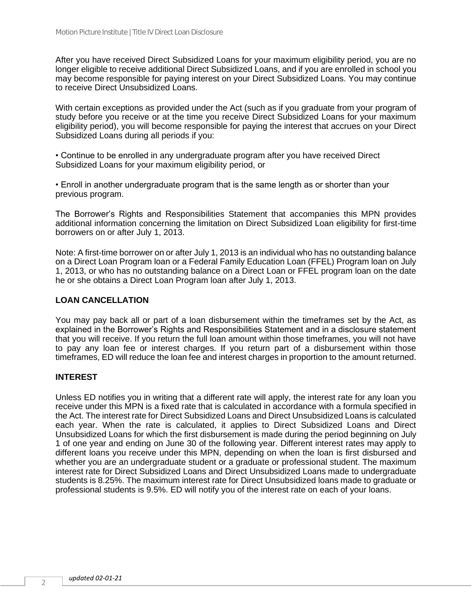After you have received Direct Subsidized Loans for your maximum eligibility period, you are no longer eligible to receive additional Direct Subsidized Loans, and if you are enrolled in school you may become responsible for paying interest on your Direct Subsidized Loans. You may continue to receive Direct Unsubsidized Loans.

With certain exceptions as provided under the Act (such as if you graduate from your program of study before you receive or at the time you receive Direct Subsidized Loans for your maximum eligibility period), you will become responsible for paying the interest that accrues on your Direct Subsidized Loans during all periods if you:

• Continue to be enrolled in any undergraduate program after you have received Direct Subsidized Loans for your maximum eligibility period, or

• Enroll in another undergraduate program that is the same length as or shorter than your previous program.

The Borrower's Rights and Responsibilities Statement that accompanies this MPN provides additional information concerning the limitation on Direct Subsidized Loan eligibility for first-time borrowers on or after July 1, 2013.

Note: A first-time borrower on or after July 1, 2013 is an individual who has no outstanding balance on a Direct Loan Program loan or a Federal Family Education Loan (FFEL) Program loan on July 1, 2013, or who has no outstanding balance on a Direct Loan or FFEL program loan on the date he or she obtains a Direct Loan Program loan after July 1, 2013.

#### **LOAN CANCELLATION**

You may pay back all or part of a loan disbursement within the timeframes set by the Act, as explained in the Borrower's Rights and Responsibilities Statement and in a disclosure statement that you will receive. If you return the full loan amount within those timeframes, you will not have to pay any loan fee or interest charges. If you return part of a disbursement within those timeframes, ED will reduce the loan fee and interest charges in proportion to the amount returned.

### **INTEREST**

Unless ED notifies you in writing that a different rate will apply, the interest rate for any loan you receive under this MPN is a fixed rate that is calculated in accordance with a formula specified in the Act. The interest rate for Direct Subsidized Loans and Direct Unsubsidized Loans is calculated each year. When the rate is calculated, it applies to Direct Subsidized Loans and Direct Unsubsidized Loans for which the first disbursement is made during the period beginning on July 1 of one year and ending on June 30 of the following year. Different interest rates may apply to different loans you receive under this MPN, depending on when the loan is first disbursed and whether you are an undergraduate student or a graduate or professional student. The maximum interest rate for Direct Subsidized Loans and Direct Unsubsidized Loans made to undergraduate students is 8.25%. The maximum interest rate for Direct Unsubsidized loans made to graduate or professional students is 9.5%. ED will notify you of the interest rate on each of your loans.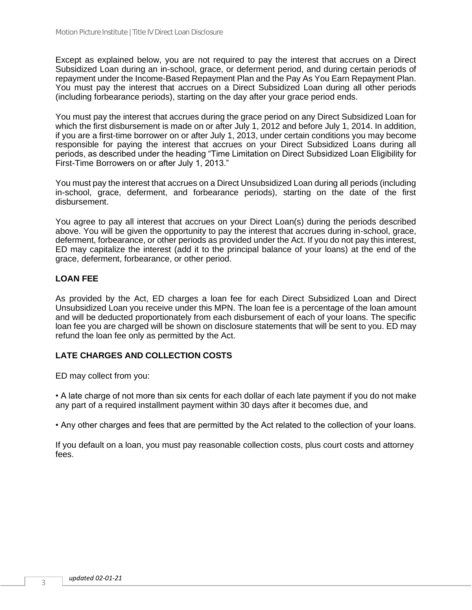Except as explained below, you are not required to pay the interest that accrues on a Direct Subsidized Loan during an in-school, grace, or deferment period, and during certain periods of repayment under the Income-Based Repayment Plan and the Pay As You Earn Repayment Plan. You must pay the interest that accrues on a Direct Subsidized Loan during all other periods (including forbearance periods), starting on the day after your grace period ends.

You must pay the interest that accrues during the grace period on any Direct Subsidized Loan for which the first disbursement is made on or after July 1, 2012 and before July 1, 2014. In addition, if you are a first-time borrower on or after July 1, 2013, under certain conditions you may become responsible for paying the interest that accrues on your Direct Subsidized Loans during all periods, as described under the heading "Time Limitation on Direct Subsidized Loan Eligibility for First-Time Borrowers on or after July 1, 2013."

You must pay the interest that accrues on a Direct Unsubsidized Loan during all periods (including in-school, grace, deferment, and forbearance periods), starting on the date of the first disbursement.

You agree to pay all interest that accrues on your Direct Loan(s) during the periods described above. You will be given the opportunity to pay the interest that accrues during in-school, grace, deferment, forbearance, or other periods as provided under the Act. If you do not pay this interest, ED may capitalize the interest (add it to the principal balance of your loans) at the end of the grace, deferment, forbearance, or other period.

# **LOAN FEE**

As provided by the Act, ED charges a loan fee for each Direct Subsidized Loan and Direct Unsubsidized Loan you receive under this MPN. The loan fee is a percentage of the loan amount and will be deducted proportionately from each disbursement of each of your loans. The specific loan fee you are charged will be shown on disclosure statements that will be sent to you. ED may refund the loan fee only as permitted by the Act.

## **LATE CHARGES AND COLLECTION COSTS**

ED may collect from you:

• A late charge of not more than six cents for each dollar of each late payment if you do not make any part of a required installment payment within 30 days after it becomes due, and

• Any other charges and fees that are permitted by the Act related to the collection of your loans.

If you default on a loan, you must pay reasonable collection costs, plus court costs and attorney fees.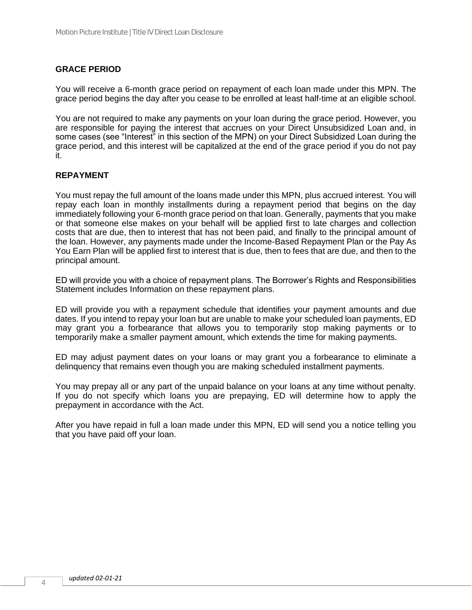## **GRACE PERIOD**

You will receive a 6-month grace period on repayment of each loan made under this MPN. The grace period begins the day after you cease to be enrolled at least half-time at an eligible school.

You are not required to make any payments on your loan during the grace period. However, you are responsible for paying the interest that accrues on your Direct Unsubsidized Loan and, in some cases (see "Interest" in this section of the MPN) on your Direct Subsidized Loan during the grace period, and this interest will be capitalized at the end of the grace period if you do not pay it.

### **REPAYMENT**

You must repay the full amount of the loans made under this MPN, plus accrued interest. You will repay each loan in monthly installments during a repayment period that begins on the day immediately following your 6-month grace period on that loan. Generally, payments that you make or that someone else makes on your behalf will be applied first to late charges and collection costs that are due, then to interest that has not been paid, and finally to the principal amount of the loan. However, any payments made under the Income-Based Repayment Plan or the Pay As You Earn Plan will be applied first to interest that is due, then to fees that are due, and then to the principal amount.

ED will provide you with a choice of repayment plans. The Borrower's Rights and Responsibilities Statement includes Information on these repayment plans.

ED will provide you with a repayment schedule that identifies your payment amounts and due dates. If you intend to repay your loan but are unable to make your scheduled loan payments, ED may grant you a forbearance that allows you to temporarily stop making payments or to temporarily make a smaller payment amount, which extends the time for making payments.

ED may adjust payment dates on your loans or may grant you a forbearance to eliminate a delinquency that remains even though you are making scheduled installment payments.

You may prepay all or any part of the unpaid balance on your loans at any time without penalty. If you do not specify which loans you are prepaying, ED will determine how to apply the prepayment in accordance with the Act.

After you have repaid in full a loan made under this MPN, ED will send you a notice telling you that you have paid off your loan.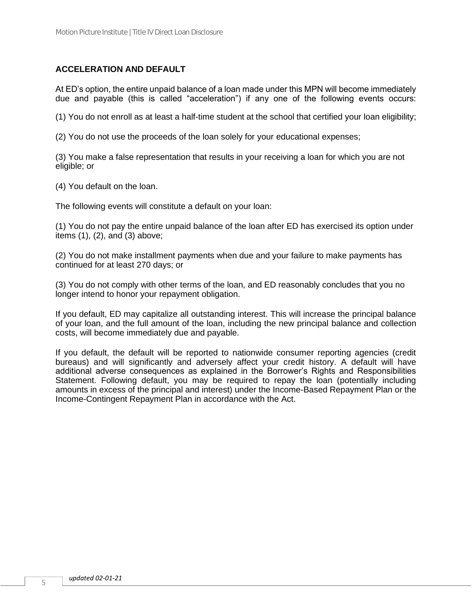## **ACCELERATION AND DEFAULT**

At ED's option, the entire unpaid balance of a loan made under this MPN will become immediately due and payable (this is called "acceleration") if any one of the following events occurs:

(1) You do not enroll as at least a half-time student at the school that certified your loan eligibility;

(2) You do not use the proceeds of the loan solely for your educational expenses;

(3) You make a false representation that results in your receiving a loan for which you are not eligible; or

(4) You default on the loan.

The following events will constitute a default on your loan:

(1) You do not pay the entire unpaid balance of the loan after ED has exercised its option under items (1), (2), and (3) above;

(2) You do not make installment payments when due and your failure to make payments has continued for at least 270 days; or

(3) You do not comply with other terms of the loan, and ED reasonably concludes that you no longer intend to honor your repayment obligation.

If you default, ED may capitalize all outstanding interest. This will increase the principal balance of your loan, and the full amount of the loan, including the new principal balance and collection costs, will become immediately due and payable.

If you default, the default will be reported to nationwide consumer reporting agencies (credit bureaus) and will significantly and adversely affect your credit history. A default will have additional adverse consequences as explained in the Borrower's Rights and Responsibilities Statement. Following default, you may be required to repay the loan (potentially including amounts in excess of the principal and interest) under the Income-Based Repayment Plan or the Income-Contingent Repayment Plan in accordance with the Act.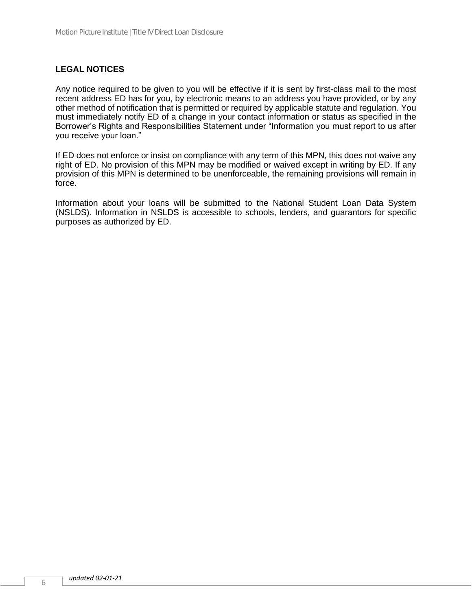## **LEGAL NOTICES**

Any notice required to be given to you will be effective if it is sent by first-class mail to the most recent address ED has for you, by electronic means to an address you have provided, or by any other method of notification that is permitted or required by applicable statute and regulation. You must immediately notify ED of a change in your contact information or status as specified in the Borrower's Rights and Responsibilities Statement under "Information you must report to us after you receive your loan."

If ED does not enforce or insist on compliance with any term of this MPN, this does not waive any right of ED. No provision of this MPN may be modified or waived except in writing by ED. If any provision of this MPN is determined to be unenforceable, the remaining provisions will remain in force.

Information about your loans will be submitted to the National Student Loan Data System (NSLDS). Information in NSLDS is accessible to schools, lenders, and guarantors for specific purposes as authorized by ED.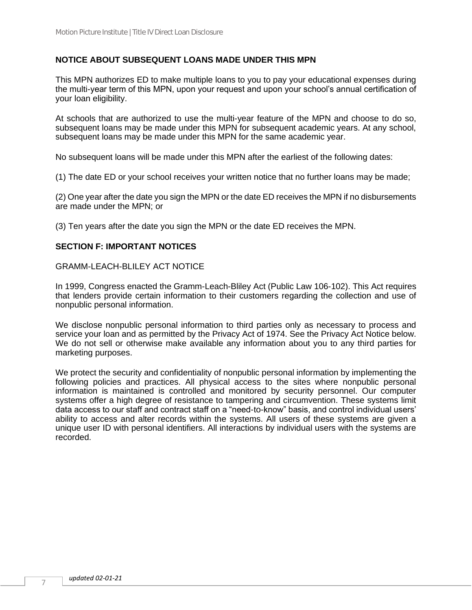## **NOTICE ABOUT SUBSEQUENT LOANS MADE UNDER THIS MPN**

This MPN authorizes ED to make multiple loans to you to pay your educational expenses during the multi-year term of this MPN, upon your request and upon your school's annual certification of your loan eligibility.

At schools that are authorized to use the multi-year feature of the MPN and choose to do so, subsequent loans may be made under this MPN for subsequent academic years. At any school, subsequent loans may be made under this MPN for the same academic year.

No subsequent loans will be made under this MPN after the earliest of the following dates:

(1) The date ED or your school receives your written notice that no further loans may be made;

(2) One year after the date you sign the MPN or the date ED receives the MPN if no disbursements are made under the MPN; or

(3) Ten years after the date you sign the MPN or the date ED receives the MPN.

### **SECTION F: IMPORTANT NOTICES**

#### GRAMM-LEACH-BLILEY ACT NOTICE

In 1999, Congress enacted the Gramm-Leach-Bliley Act (Public Law 106-102). This Act requires that lenders provide certain information to their customers regarding the collection and use of nonpublic personal information.

We disclose nonpublic personal information to third parties only as necessary to process and service your loan and as permitted by the Privacy Act of 1974. See the Privacy Act Notice below. We do not sell or otherwise make available any information about you to any third parties for marketing purposes.

We protect the security and confidentiality of nonpublic personal information by implementing the following policies and practices. All physical access to the sites where nonpublic personal information is maintained is controlled and monitored by security personnel. Our computer systems offer a high degree of resistance to tampering and circumvention. These systems limit data access to our staff and contract staff on a "need-to-know" basis, and control individual users' ability to access and alter records within the systems. All users of these systems are given a unique user ID with personal identifiers. All interactions by individual users with the systems are recorded.